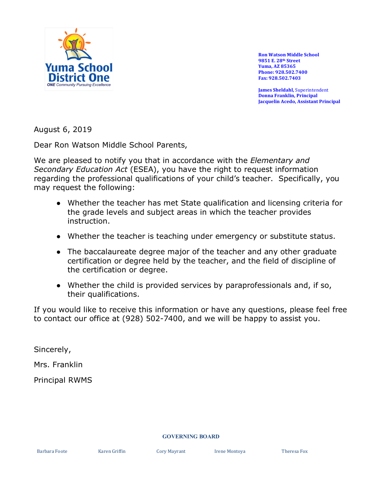

**Ron Watson Middle School 9851 E. 28th Street Yuma, AZ 85365 Phone: 928.502.7400 Fax: 928.502.7403**

**James Sheldahl,** Superintendent **Donna Franklin, Principal Jacquelin Acedo, Assistant Principal**

August 6, 2019

Dear Ron Watson Middle School Parents,

We are pleased to notify you that in accordance with the *Elementary and Secondary Education Act* (ESEA), you have the right to request information regarding the professional qualifications of your child's teacher. Specifically, you may request the following:

- Whether the teacher has met State qualification and licensing criteria for the grade levels and subject areas in which the teacher provides instruction.
- Whether the teacher is teaching under emergency or substitute status.
- The baccalaureate degree major of the teacher and any other graduate certification or degree held by the teacher, and the field of discipline of the certification or degree.
- Whether the child is provided services by paraprofessionals and, if so, their qualifications.

If you would like to receive this information or have any questions, please feel free to contact our office at (928) 502-7400, and we will be happy to assist you.

Sincerely,

Mrs. Franklin

Principal RWMS

## **GOVERNING BOARD**